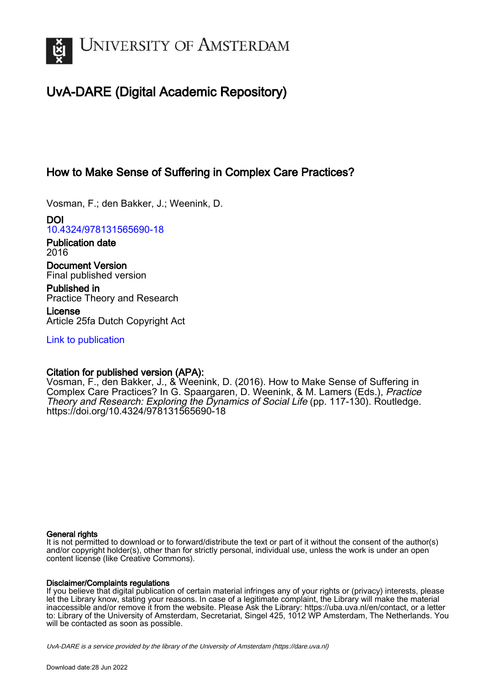

# UvA-DARE (Digital Academic Repository)

## How to Make Sense of Suffering in Complex Care Practices?

Vosman, F.; den Bakker, J.; Weenink, D.

DOI [10.4324/978131565690-18](https://doi.org/10.4324/978131565690-18)

Publication date 2016

Document Version Final published version

Published in Practice Theory and Research

License Article 25fa Dutch Copyright Act

[Link to publication](https://dare.uva.nl/personal/pure/en/publications/how-to-make-sense-of-suffering-in-complex-care-practices(f650d92a-b0c0-4a9b-b274-bdce754b4c97).html)

## Citation for published version (APA):

Vosman, F., den Bakker, J., & Weenink, D. (2016). How to Make Sense of Suffering in Complex Care Practices? In G. Spaargaren, D. Weenink, & M. Lamers (Eds.), Practice Theory and Research: Exploring the Dynamics of Social Life (pp. 117-130). Routledge. <https://doi.org/10.4324/978131565690-18>

### General rights

It is not permitted to download or to forward/distribute the text or part of it without the consent of the author(s) and/or copyright holder(s), other than for strictly personal, individual use, unless the work is under an open content license (like Creative Commons).

### Disclaimer/Complaints regulations

If you believe that digital publication of certain material infringes any of your rights or (privacy) interests, please let the Library know, stating your reasons. In case of a legitimate complaint, the Library will make the material inaccessible and/or remove it from the website. Please Ask the Library: https://uba.uva.nl/en/contact, or a letter to: Library of the University of Amsterdam, Secretariat, Singel 425, 1012 WP Amsterdam, The Netherlands. You will be contacted as soon as possible.

UvA-DARE is a service provided by the library of the University of Amsterdam (http*s*://dare.uva.nl)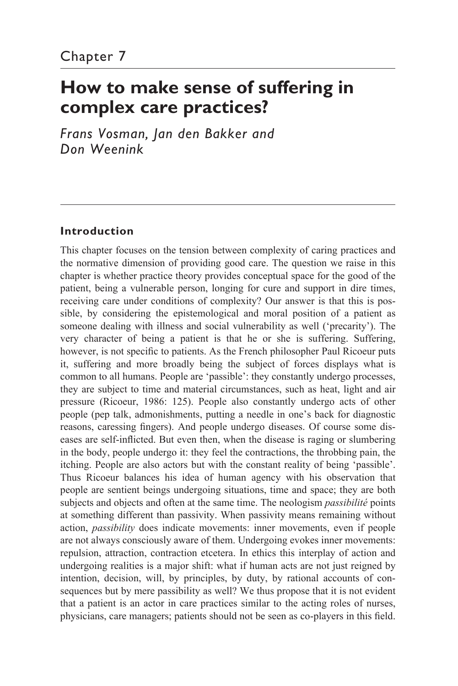# **How to make sense of suffering in complex care practices?**

*Frans Vosman, Jan den Bakker and Don Weenink*

## **Introduction**

This chapter focuses on the tension between complexity of caring practices and the normative dimension of providing good care. The question we raise in this chapter is whether practice theory provides conceptual space for the good of the patient, being a vulnerable person, longing for cure and support in dire times, receiving care under conditions of complexity? Our answer is that this is possible, by considering the epistemological and moral position of a patient as someone dealing with illness and social vulnerability as well ('precarity'). The very character of being a patient is that he or she is suffering. Suffering, however, is not specific to patients. As the French philosopher Paul Ricoeur puts it, suffering and more broadly being the subject of forces displays what is common to all humans. People are 'passible': they constantly undergo processes, they are subject to time and material circumstances, such as heat, light and air pressure (Ricoeur, 1986: 125). People also constantly undergo acts of other people (pep talk, admonishments, putting a needle in one's back for diagnostic reasons, caressing fingers). And people undergo diseases. Of course some diseases are self- inflicted. But even then, when the disease is raging or slumbering in the body, people undergo it: they feel the contractions, the throbbing pain, the itching. People are also actors but with the constant reality of being 'passible'. Thus Ricoeur balances his idea of human agency with his observation that people are sentient beings undergoing situations, time and space; they are both subjects and objects and often at the same time. The neologism *passibilité* points at something different than passivity. When passivity means remaining without action, *passibility* does indicate movements: inner movements, even if people are not always consciously aware of them. Undergoing evokes inner movements: repulsion, attraction, contraction etcetera. In ethics this interplay of action and undergoing realities is a major shift: what if human acts are not just reigned by intention, decision, will, by principles, by duty, by rational accounts of consequences but by mere passibility as well? We thus propose that it is not evident that a patient is an actor in care practices similar to the acting roles of nurses, physicians, care managers; patients should not be seen as co- players in this field.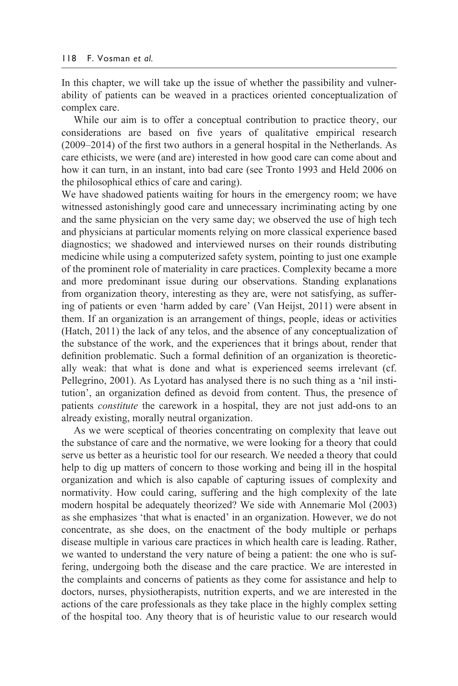In this chapter, we will take up the issue of whether the passibility and vulnerability of patients can be weaved in a practices oriented conceptualization of complex care.

 While our aim is to offer a conceptual contribution to practice theory, our considerations are based on five years of qualitative empirical research (2009–2014) of the first two authors in a general hospital in the Netherlands. As care ethicists, we were (and are) interested in how good care can come about and how it can turn, in an instant, into bad care (see Tronto 1993 and Held 2006 on the philosophical ethics of care and caring).

We have shadowed patients waiting for hours in the emergency room; we have witnessed astonishingly good care and unnecessary incriminating acting by one and the same physician on the very same day; we observed the use of high tech and physicians at particular moments relying on more classical experience based diagnostics; we shadowed and interviewed nurses on their rounds distributing medicine while using a computerized safety system, pointing to just one example of the prominent role of materiality in care practices. Complexity became a more and more predominant issue during our observations. Standing explanations from organization theory, interesting as they are, were not satisfying, as suffering of patients or even 'harm added by care' (Van Heijst, 2011) were absent in them. If an organization is an arrangement of things, people, ideas or activities (Hatch, 2011) the lack of any telos, and the absence of any conceptualization of the substance of the work, and the experiences that it brings about, render that definition problematic. Such a formal definition of an organization is theoretically weak: that what is done and what is experienced seems irrelevant (cf. Pellegrino, 2001). As Lyotard has analysed there is no such thing as a 'nil institution', an organization defined as devoid from content. Thus, the presence of patients *constitute* the carework in a hospital, they are not just add-ons to an already existing, morally neutral organization.

 As we were sceptical of theories concentrating on complexity that leave out the substance of care and the normative, we were looking for a theory that could serve us better as a heuristic tool for our research. We needed a theory that could help to dig up matters of concern to those working and being ill in the hospital organization and which is also capable of capturing issues of complexity and normativity. How could caring, suffering and the high complexity of the late modern hospital be adequately theorized? We side with Annemarie Mol (2003) as she emphasizes 'that what is enacted' in an organization. However, we do not concentrate, as she does, on the enactment of the body multiple or perhaps disease multiple in various care practices in which health care is leading. Rather, we wanted to understand the very nature of being a patient: the one who is suffering, undergoing both the disease and the care practice. We are interested in the complaints and concerns of patients as they come for assistance and help to doctors, nurses, physiotherapists, nutrition experts, and we are interested in the actions of the care professionals as they take place in the highly complex setting of the hospital too. Any theory that is of heuristic value to our research would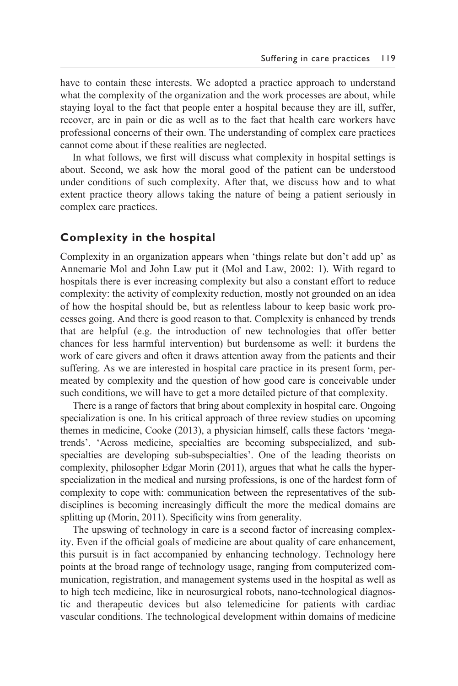have to contain these interests. We adopted a practice approach to understand what the complexity of the organization and the work processes are about, while staying loyal to the fact that people enter a hospital because they are ill, suffer, recover, are in pain or die as well as to the fact that health care workers have professional concerns of their own. The understanding of complex care practices cannot come about if these realities are neglected.

 In what follows, we first will discuss what complexity in hospital settings is about. Second, we ask how the moral good of the patient can be understood under conditions of such complexity. After that, we discuss how and to what extent practice theory allows taking the nature of being a patient seriously in complex care practices.

#### **Complexity in the hospital**

Complexity in an organization appears when 'things relate but don't add up' as Annemarie Mol and John Law put it (Mol and Law, 2002: 1). With regard to hospitals there is ever increasing complexity but also a constant effort to reduce complexity: the activity of complexity reduction, mostly not grounded on an idea of how the hospital should be, but as relentless labour to keep basic work processes going. And there is good reason to that. Complexity is enhanced by trends that are helpful (e.g. the introduction of new technologies that offer better chances for less harmful intervention) but burdensome as well: it burdens the work of care givers and often it draws attention away from the patients and their suffering. As we are interested in hospital care practice in its present form, permeated by complexity and the question of how good care is conceivable under such conditions, we will have to get a more detailed picture of that complexity.

 There is a range of factors that bring about complexity in hospital care. Ongoing specialization is one. In his critical approach of three review studies on upcoming themes in medicine, Cooke (2013), a physician himself, calls these factors 'megatrends'. 'Across medicine, specialties are becoming subspecialized, and subspecialties are developing sub-subspecialties'. One of the leading theorists on complexity, philosopher Edgar Morin (2011), argues that what he calls the hyperspecialization in the medical and nursing professions, is one of the hardest form of complexity to cope with: communication between the representatives of the subdisciplines is becoming increasingly difficult the more the medical domains are splitting up (Morin, 2011). Specificity wins from generality.

 The upswing of technology in care is a second factor of increasing complexity. Even if the official goals of medicine are about quality of care enhancement, this pursuit is in fact accompanied by enhancing technology. Technology here points at the broad range of technology usage, ranging from computerized communication, registration, and management systems used in the hospital as well as to high tech medicine, like in neurosurgical robots, nano- technological diagnostic and therapeutic devices but also telemedicine for patients with cardiac vascular conditions. The technological development within domains of medicine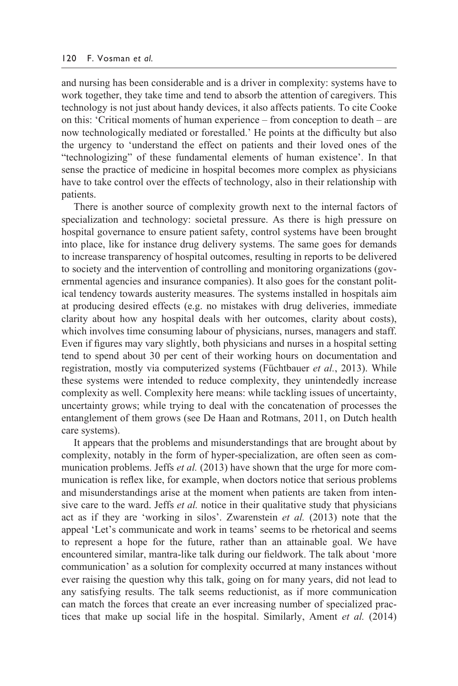and nursing has been considerable and is a driver in complexity: systems have to work together, they take time and tend to absorb the attention of caregivers. This technology is not just about handy devices, it also affects patients. To cite Cooke on this: 'Critical moments of human experience – from conception to death – are now technologically mediated or forestalled.' He points at the difficulty but also the urgency to 'understand the effect on patients and their loved ones of the "technologizing" of these fundamental elements of human existence'. In that sense the practice of medicine in hospital becomes more complex as physicians have to take control over the effects of technology, also in their relationship with patients.

 There is another source of complexity growth next to the internal factors of specialization and technology: societal pressure. As there is high pressure on hospital governance to ensure patient safety, control systems have been brought into place, like for instance drug delivery systems. The same goes for demands to increase transparency of hospital outcomes, resulting in reports to be delivered to society and the intervention of controlling and monitoring organizations (governmental agencies and insurance companies). It also goes for the constant political tendency towards austerity measures. The systems installed in hospitals aim at producing desired effects (e.g. no mistakes with drug deliveries, immediate clarity about how any hospital deals with her outcomes, clarity about costs), which involves time consuming labour of physicians, nurses, managers and staff. Even if figures may vary slightly, both physicians and nurses in a hospital setting tend to spend about 30 per cent of their working hours on documentation and registration, mostly via computerized systems (Füchtbauer *et al.*, 2013). While these systems were intended to reduce complexity, they unintendedly increase complexity as well. Complexity here means: while tackling issues of uncertainty, uncertainty grows; while trying to deal with the concatenation of processes the entanglement of them grows (see De Haan and Rotmans, 2011, on Dutch health care systems).

 It appears that the problems and misunderstandings that are brought about by complexity, notably in the form of hyper-specialization, are often seen as communication problems. Jeffs *et al.* (2013) have shown that the urge for more communication is reflex like, for example, when doctors notice that serious problems and misunderstandings arise at the moment when patients are taken from intensive care to the ward. Jeffs *et al.* notice in their qualitative study that physicians act as if they are 'working in silos'. Zwarenstein *et al.* (2013) note that the appeal 'Let's communicate and work in teams' seems to be rhetorical and seems to represent a hope for the future, rather than an attainable goal. We have encountered similar, mantra-like talk during our fieldwork. The talk about 'more communication' as a solution for complexity occurred at many instances without ever raising the question why this talk, going on for many years, did not lead to any satisfying results. The talk seems reductionist, as if more communication can match the forces that create an ever increasing number of specialized practices that make up social life in the hospital. Similarly, Ament *et al.* (2014)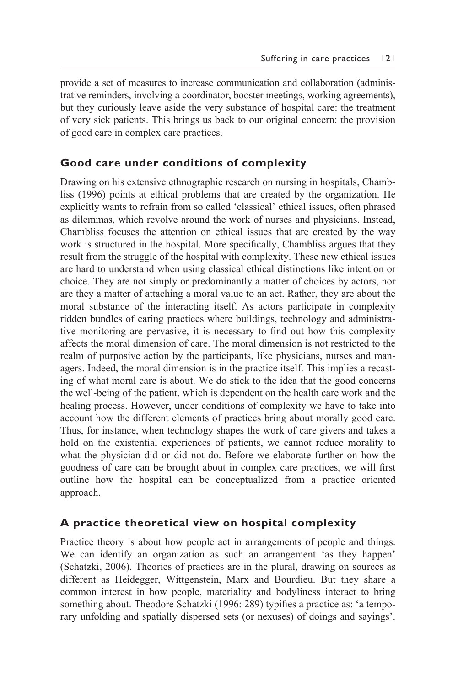provide a set of measures to increase communication and collaboration (administrative reminders, involving a coordinator, booster meetings, working agreements), but they curiously leave aside the very substance of hospital care: the treatment of very sick patients. This brings us back to our original concern: the provision of good care in complex care practices.

## **Good care under conditions of complexity**

Drawing on his extensive ethnographic research on nursing in hospitals, Chambliss (1996) points at ethical problems that are created by the organization. He explicitly wants to refrain from so called 'classical' ethical issues, often phrased as dilemmas, which revolve around the work of nurses and physicians. Instead, Chambliss focuses the attention on ethical issues that are created by the way work is structured in the hospital. More specifically, Chambliss argues that they result from the struggle of the hospital with complexity. These new ethical issues are hard to understand when using classical ethical distinctions like intention or choice. They are not simply or predominantly a matter of choices by actors, nor are they a matter of attaching a moral value to an act. Rather, they are about the moral substance of the interacting itself. As actors participate in complexity ridden bundles of caring practices where buildings, technology and administrative monitoring are pervasive, it is necessary to find out how this complexity affects the moral dimension of care. The moral dimension is not restricted to the realm of purposive action by the participants, like physicians, nurses and managers. Indeed, the moral dimension is in the practice itself. This implies a recasting of what moral care is about. We do stick to the idea that the good concerns the well- being of the patient, which is dependent on the health care work and the healing process. However, under conditions of complexity we have to take into account how the different elements of practices bring about morally good care. Thus, for instance, when technology shapes the work of care givers and takes a hold on the existential experiences of patients, we cannot reduce morality to what the physician did or did not do. Before we elaborate further on how the goodness of care can be brought about in complex care practices, we will first outline how the hospital can be conceptualized from a practice oriented approach.

## **A practice theoretical view on hospital complexity**

Practice theory is about how people act in arrangements of people and things. We can identify an organization as such an arrangement 'as they happen' (Schatzki, 2006). Theories of practices are in the plural, drawing on sources as different as Heidegger, Wittgenstein, Marx and Bourdieu. But they share a common interest in how people, materiality and bodyliness interact to bring something about. Theodore Schatzki (1996: 289) typifies a practice as: 'a temporary unfolding and spatially dispersed sets (or nexuses) of doings and sayings'.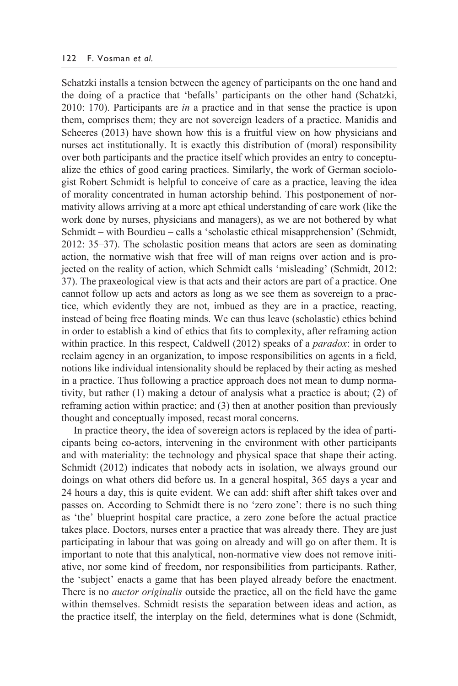Schatzki installs a tension between the agency of participants on the one hand and the doing of a practice that 'befalls' participants on the other hand (Schatzki, 2010: 170). Participants are *in* a practice and in that sense the practice is upon them, comprises them; they are not sovereign leaders of a practice. Manidis and Scheeres (2013) have shown how this is a fruitful view on how physicians and nurses act institutionally. It is exactly this distribution of (moral) responsibility over both participants and the practice itself which provides an entry to conceptualize the ethics of good caring practices. Similarly, the work of German sociologist Robert Schmidt is helpful to conceive of care as a practice, leaving the idea of morality concentrated in human actorship behind. This postponement of normativity allows arriving at a more apt ethical understanding of care work (like the work done by nurses, physicians and managers), as we are not bothered by what Schmidt – with Bourdieu – calls a 'scholastic ethical misapprehension' (Schmidt, 2012: 35–37). The scholastic position means that actors are seen as dominating action, the normative wish that free will of man reigns over action and is projected on the reality of action, which Schmidt calls 'misleading' (Schmidt, 2012: 37). The praxeological view is that acts and their actors are part of a practice. One cannot follow up acts and actors as long as we see them as sovereign to a practice, which evidently they are not, imbued as they are in a practice, reacting, instead of being free floating minds. We can thus leave (scholastic) ethics behind in order to establish a kind of ethics that fits to complexity, after reframing action within practice. In this respect, Caldwell (2012) speaks of a *paradox*: in order to reclaim agency in an organization, to impose responsibilities on agents in a field, notions like individual intensionality should be replaced by their acting as meshed in a practice. Thus following a practice approach does not mean to dump normativity, but rather (1) making a detour of analysis what a practice is about; (2) of reframing action within practice; and (3) then at another position than previously thought and conceptually imposed, recast moral concerns.

 In practice theory, the idea of sovereign actors is replaced by the idea of participants being co- actors, intervening in the environment with other participants and with materiality: the technology and physical space that shape their acting. Schmidt (2012) indicates that nobody acts in isolation, we always ground our doings on what others did before us. In a general hospital, 365 days a year and 24 hours a day, this is quite evident. We can add: shift after shift takes over and passes on. According to Schmidt there is no 'zero zone': there is no such thing as 'the' blueprint hospital care practice, a zero zone before the actual practice takes place. Doctors, nurses enter a practice that was already there. They are just participating in labour that was going on already and will go on after them. It is important to note that this analytical, non- normative view does not remove initiative, nor some kind of freedom, nor responsibilities from participants. Rather, the 'subject' enacts a game that has been played already before the enactment. There is no *auctor originalis* outside the practice, all on the field have the game within themselves. Schmidt resists the separation between ideas and action, as the practice itself, the interplay on the field, determines what is done (Schmidt,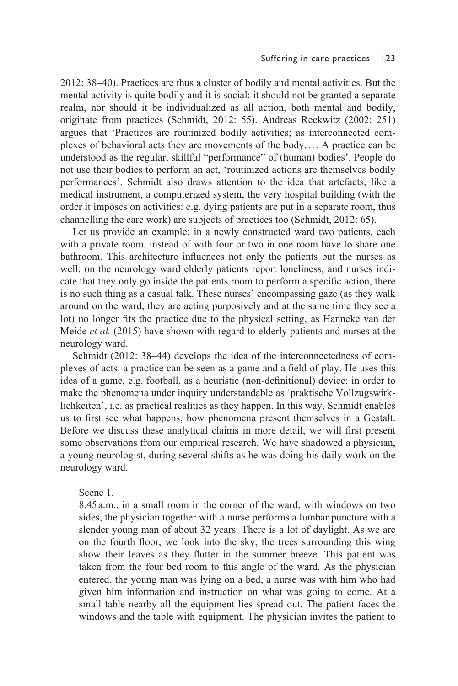2012: 38–40). Practices are thus a cluster of bodily and mental activities. But the mental activity is quite bodily and it is social: it should not be granted a separate realm, nor should it be individualized as all action, both mental and bodily, originate from practices (Schmidt, 2012: 55). Andreas Reckwitz (2002: 251) argues that 'Practices are routinized bodily activities; as interconnected complexes of behavioral acts they are movements of the body. . . . A practice can be understood as the regular, skillful "performance" of (human) bodies'. People do not use their bodies to perform an act, 'routinized actions are themselves bodily performances'. Schmidt also draws attention to the idea that artefacts, like a medical instrument, a computerized system, the very hospital building (with the order it imposes on activities: e.g. dying patients are put in a separate room, thus channelling the care work) are subjects of practices too (Schmidt, 2012: 65).

 Let us provide an example: in a newly constructed ward two patients, each with a private room, instead of with four or two in one room have to share one bathroom. This architecture influences not only the patients but the nurses as well: on the neurology ward elderly patients report loneliness, and nurses indicate that they only go inside the patients room to perform a specific action, there is no such thing as a casual talk. These nurses' encompassing gaze (as they walk around on the ward, they are acting purposively and at the same time they see a lot) no longer fits the practice due to the physical setting, as Hanneke van der Meide *et al.* (2015) have shown with regard to elderly patients and nurses at the neurology ward.

 Schmidt (2012: 38–44) develops the idea of the interconnectedness of complexes of acts: a practice can be seen as a game and a field of play. He uses this idea of a game, e.g. football, as a heuristic (non- definitional) device: in order to make the phenomena under inquiry understandable as 'praktische Vollzugswirklichkeiten', i.e. as practical realities as they happen. In this way, Schmidt enables us to first see what happens, how phenomena present themselves in a Gestalt. Before we discuss these analytical claims in more detail, we will first present some observations from our empirical research. We have shadowed a physician, a young neurologist, during several shifts as he was doing his daily work on the neurology ward.

#### Scene 1.

8.45 a.m., in a small room in the corner of the ward, with windows on two sides, the physician together with a nurse performs a lumbar puncture with a slender young man of about 32 years. There is a lot of daylight. As we are on the fourth floor, we look into the sky, the trees surrounding this wing show their leaves as they flutter in the summer breeze. This patient was taken from the four bed room to this angle of the ward. As the physician entered, the young man was lying on a bed, a nurse was with him who had given him information and instruction on what was going to come. At a small table nearby all the equipment lies spread out. The patient faces the windows and the table with equipment. The physician invites the patient to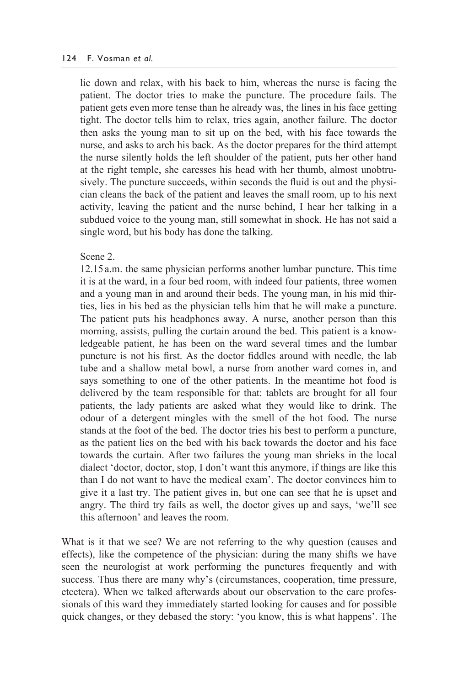#### 124 F. Vosman *et al.*

lie down and relax, with his back to him, whereas the nurse is facing the patient. The doctor tries to make the puncture. The procedure fails. The patient gets even more tense than he already was, the lines in his face getting tight. The doctor tells him to relax, tries again, another failure. The doctor then asks the young man to sit up on the bed, with his face towards the nurse, and asks to arch his back. As the doctor prepares for the third attempt the nurse silently holds the left shoulder of the patient, puts her other hand at the right temple, she caresses his head with her thumb, almost unobtrusively. The puncture succeeds, within seconds the fluid is out and the physician cleans the back of the patient and leaves the small room, up to his next activity, leaving the patient and the nurse behind, I hear her talking in a subdued voice to the young man, still somewhat in shock. He has not said a single word, but his body has done the talking.

#### Scene 2.

12.15 a.m. the same physician performs another lumbar puncture. This time it is at the ward, in a four bed room, with indeed four patients, three women and a young man in and around their beds. The young man, in his mid thirties, lies in his bed as the physician tells him that he will make a puncture. The patient puts his headphones away. A nurse, another person than this morning, assists, pulling the curtain around the bed. This patient is a knowledgeable patient, he has been on the ward several times and the lumbar puncture is not his first. As the doctor fiddles around with needle, the lab tube and a shallow metal bowl, a nurse from another ward comes in, and says something to one of the other patients. In the meantime hot food is delivered by the team responsible for that: tablets are brought for all four patients, the lady patients are asked what they would like to drink. The odour of a detergent mingles with the smell of the hot food. The nurse stands at the foot of the bed. The doctor tries his best to perform a puncture, as the patient lies on the bed with his back towards the doctor and his face towards the curtain. After two failures the young man shrieks in the local dialect 'doctor, doctor, stop, I don't want this anymore, if things are like this than I do not want to have the medical exam'. The doctor convinces him to give it a last try. The patient gives in, but one can see that he is upset and angry. The third try fails as well, the doctor gives up and says, 'we'll see this afternoon' and leaves the room.

What is it that we see? We are not referring to the why question (causes and effects), like the competence of the physician: during the many shifts we have seen the neurologist at work performing the punctures frequently and with success. Thus there are many why's (circumstances, cooperation, time pressure, etcetera). When we talked afterwards about our observation to the care professionals of this ward they immediately started looking for causes and for possible quick changes, or they debased the story: 'you know, this is what happens'. The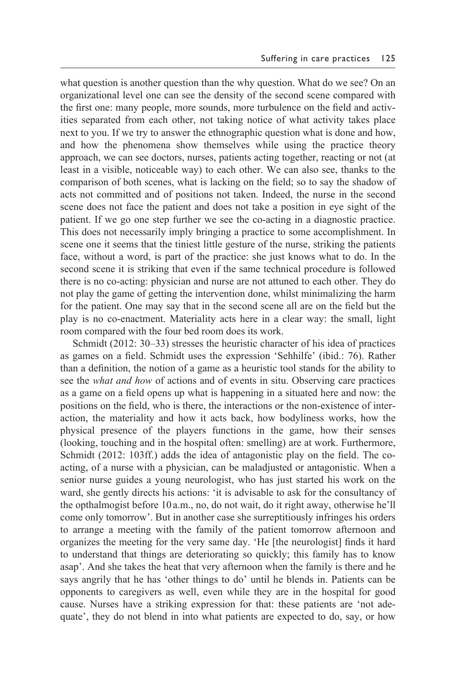what question is another question than the why question. What do we see? On an organizational level one can see the density of the second scene compared with the first one: many people, more sounds, more turbulence on the field and activities separated from each other, not taking notice of what activity takes place next to you. If we try to answer the ethnographic question what is done and how, and how the phenomena show themselves while using the practice theory approach, we can see doctors, nurses, patients acting together, reacting or not (at least in a visible, noticeable way) to each other. We can also see, thanks to the comparison of both scenes, what is lacking on the field; so to say the shadow of acts not committed and of positions not taken. Indeed, the nurse in the second scene does not face the patient and does not take a position in eye sight of the patient. If we go one step further we see the co- acting in a diagnostic practice. This does not necessarily imply bringing a practice to some accomplishment. In scene one it seems that the tiniest little gesture of the nurse, striking the patients face, without a word, is part of the practice: she just knows what to do. In the second scene it is striking that even if the same technical procedure is followed there is no co-acting: physician and nurse are not attuned to each other. They do not play the game of getting the intervention done, whilst minimalizing the harm for the patient. One may say that in the second scene all are on the field but the play is no co- enactment. Materiality acts here in a clear way: the small, light room compared with the four bed room does its work.

 Schmidt (2012: 30–33) stresses the heuristic character of his idea of practices as games on a field. Schmidt uses the expression 'Sehhilfe' (ibid.: 76). Rather than a definition, the notion of a game as a heuristic tool stands for the ability to see the *what and how* of actions and of events in situ. Observing care practices as a game on a field opens up what is happening in a situated here and now: the positions on the field, who is there, the interactions or the non-existence of interaction, the materiality and how it acts back, how bodyliness works, how the physical presence of the players functions in the game, how their senses (looking, touching and in the hospital often: smelling) are at work. Furthermore, Schmidt (2012: 103ff.) adds the idea of antagonistic play on the field. The coacting, of a nurse with a physician, can be maladjusted or antagonistic. When a senior nurse guides a young neurologist, who has just started his work on the ward, she gently directs his actions: 'it is advisable to ask for the consultancy of the opthalmogist before 10 a.m., no, do not wait, do it right away, otherwise he'll come only tomorrow'. But in another case she surreptitiously infringes his orders to arrange a meeting with the family of the patient tomorrow afternoon and organizes the meeting for the very same day. 'He [the neurologist] finds it hard to understand that things are deteriorating so quickly; this family has to know asap'. And she takes the heat that very afternoon when the family is there and he says angrily that he has 'other things to do' until he blends in. Patients can be opponents to caregivers as well, even while they are in the hospital for good cause. Nurses have a striking expression for that: these patients are 'not adequate', they do not blend in into what patients are expected to do, say, or how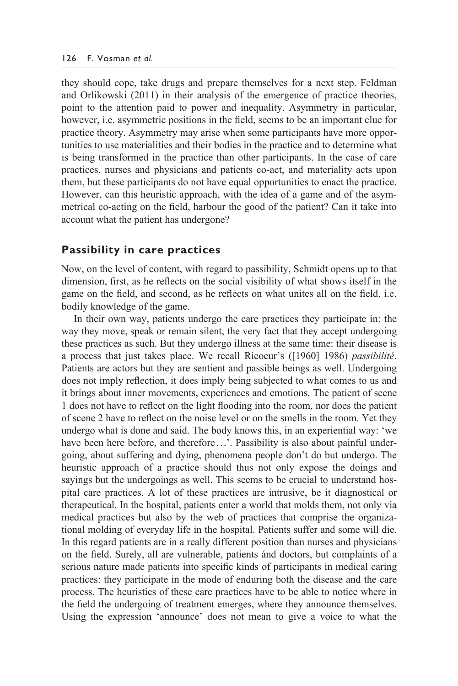they should cope, take drugs and prepare themselves for a next step. Feldman and Orlikowski (2011) in their analysis of the emergence of practice theories, point to the attention paid to power and inequality. Asymmetry in particular, however, i.e. asymmetric positions in the field, seems to be an important clue for practice theory. Asymmetry may arise when some participants have more opportunities to use materialities and their bodies in the practice and to determine what is being transformed in the practice than other participants. In the case of care practices, nurses and physicians and patients co- act, and materiality acts upon them, but these participants do not have equal opportunities to enact the practice. However, can this heuristic approach, with the idea of a game and of the asymmetrical co- acting on the field, harbour the good of the patient? Can it take into account what the patient has undergone?

#### **Passibility in care practices**

Now, on the level of content, with regard to passibility, Schmidt opens up to that dimension, first, as he reflects on the social visibility of what shows itself in the game on the field, and second, as he reflects on what unites all on the field, i.e. bodily knowledge of the game.

 In their own way, patients undergo the care practices they participate in: the way they move, speak or remain silent, the very fact that they accept undergoing these practices as such. But they undergo illness at the same time: their disease is a process that just takes place. We recall Ricoeur's ([1960] 1986) *passibilité*. Patients are actors but they are sentient and passible beings as well. Undergoing does not imply reflection, it does imply being subjected to what comes to us and it brings about inner movements, experiences and emotions. The patient of scene 1 does not have to reflect on the light flooding into the room, nor does the patient of scene 2 have to reflect on the noise level or on the smells in the room. Yet they undergo what is done and said. The body knows this, in an experiential way: 'we have been here before, and therefore ...'. Passibility is also about painful undergoing, about suffering and dying, phenomena people don't do but undergo. The heuristic approach of a practice should thus not only expose the doings and sayings but the undergoings as well. This seems to be crucial to understand hospital care practices. A lot of these practices are intrusive, be it diagnostical or therapeutical. In the hospital, patients enter a world that molds them, not only via medical practices but also by the web of practices that comprise the organizational molding of everyday life in the hospital. Patients suffer and some will die. In this regard patients are in a really different position than nurses and physicians on the field. Surely, all are vulnerable, patients ánd doctors, but complaints of a serious nature made patients into specific kinds of participants in medical caring practices: they participate in the mode of enduring both the disease and the care process. The heuristics of these care practices have to be able to notice where in the field the undergoing of treatment emerges, where they announce themselves. Using the expression 'announce' does not mean to give a voice to what the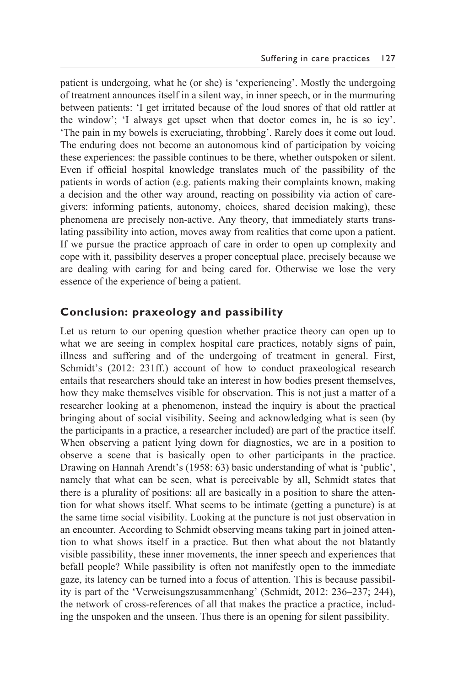patient is undergoing, what he (or she) is 'experiencing'. Mostly the undergoing of treatment announces itself in a silent way, in inner speech, or in the murmuring between patients: 'I get irritated because of the loud snores of that old rattler at the window'; 'I always get upset when that doctor comes in, he is so icy'. 'The pain in my bowels is excruciating, throbbing'. Rarely does it come out loud. The enduring does not become an autonomous kind of participation by voicing these experiences: the passible continues to be there, whether outspoken or silent. Even if official hospital knowledge translates much of the passibility of the patients in words of action (e.g. patients making their complaints known, making a decision and the other way around, reacting on possibility via action of caregivers: informing patients, autonomy, choices, shared decision making), these phenomena are precisely non-active. Any theory, that immediately starts translating passibility into action, moves away from realities that come upon a patient. If we pursue the practice approach of care in order to open up complexity and cope with it, passibility deserves a proper conceptual place, precisely because we are dealing with caring for and being cared for. Otherwise we lose the very essence of the experience of being a patient.

### **Conclusion: praxeology and passibility**

Let us return to our opening question whether practice theory can open up to what we are seeing in complex hospital care practices, notably signs of pain, illness and suffering and of the undergoing of treatment in general. First, Schmidt's (2012: 231ff.) account of how to conduct praxeological research entails that researchers should take an interest in how bodies present themselves, how they make themselves visible for observation. This is not just a matter of a researcher looking at a phenomenon, instead the inquiry is about the practical bringing about of social visibility. Seeing and acknowledging what is seen (by the participants in a practice, a researcher included) are part of the practice itself. When observing a patient lying down for diagnostics, we are in a position to observe a scene that is basically open to other participants in the practice. Drawing on Hannah Arendt's (1958: 63) basic understanding of what is 'public', namely that what can be seen, what is perceivable by all, Schmidt states that there is a plurality of positions: all are basically in a position to share the attention for what shows itself. What seems to be intimate (getting a puncture) is at the same time social visibility. Looking at the puncture is not just observation in an encounter. According to Schmidt observing means taking part in joined attention to what shows itself in a practice. But then what about the not blatantly visible passibility, these inner movements, the inner speech and experiences that befall people? While passibility is often not manifestly open to the immediate gaze, its latency can be turned into a focus of attention. This is because passibility is part of the 'Verweisungszusammenhang' (Schmidt, 2012: 236–237; 244), the network of cross- references of all that makes the practice a practice, including the unspoken and the unseen. Thus there is an opening for silent passibility.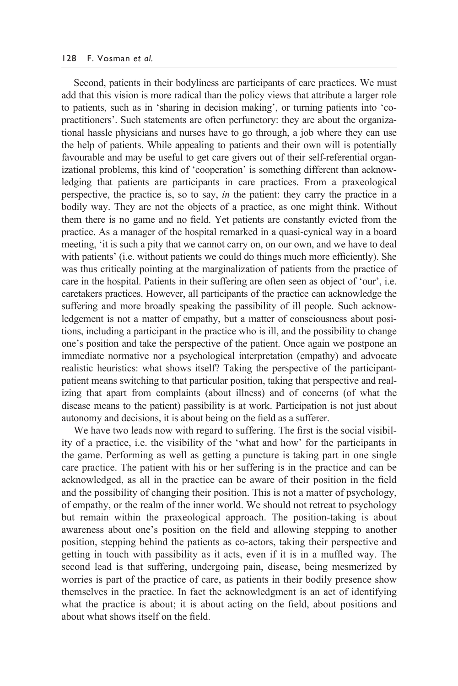Second, patients in their bodyliness are participants of care practices. We must add that this vision is more radical than the policy views that attribute a larger role to patients, such as in 'sharing in decision making', or turning patients into 'copractitioners'. Such statements are often perfunctory: they are about the organizational hassle physicians and nurses have to go through, a job where they can use the help of patients. While appealing to patients and their own will is potentially favourable and may be useful to get care givers out of their self-referential organizational problems, this kind of 'cooperation' is something different than acknowledging that patients are participants in care practices. From a praxeological perspective, the practice is, so to say, *in* the patient: they carry the practice in a bodily way. They are not the objects of a practice, as one might think. Without them there is no game and no field. Yet patients are constantly evicted from the practice. As a manager of the hospital remarked in a quasi- cynical way in a board meeting, 'it is such a pity that we cannot carry on, on our own, and we have to deal with patients' (i.e. without patients we could do things much more efficiently). She was thus critically pointing at the marginalization of patients from the practice of care in the hospital. Patients in their suffering are often seen as object of 'our', i.e. caretakers practices. However, all participants of the practice can acknowledge the suffering and more broadly speaking the passibility of ill people. Such acknowledgement is not a matter of empathy, but a matter of consciousness about positions, including a participant in the practice who is ill, and the possibility to change one's position and take the perspective of the patient. Once again we postpone an immediate normative nor a psychological interpretation (empathy) and advocate realistic heuristics: what shows itself? Taking the perspective of the participantpatient means switching to that particular position, taking that perspective and realizing that apart from complaints (about illness) and of concerns (of what the disease means to the patient) passibility is at work. Participation is not just about autonomy and decisions, it is about being on the field as a sufferer.

 We have two leads now with regard to suffering. The first is the social visibility of a practice, i.e. the visibility of the 'what and how' for the participants in the game. Performing as well as getting a puncture is taking part in one single care practice. The patient with his or her suffering is in the practice and can be acknowledged, as all in the practice can be aware of their position in the field and the possibility of changing their position. This is not a matter of psychology, of empathy, or the realm of the inner world. We should not retreat to psychology but remain within the praxeological approach. The position-taking is about awareness about one's position on the field and allowing stepping to another position, stepping behind the patients as co- actors, taking their perspective and getting in touch with passibility as it acts, even if it is in a muffled way. The second lead is that suffering, undergoing pain, disease, being mesmerized by worries is part of the practice of care, as patients in their bodily presence show themselves in the practice. In fact the acknowledgment is an act of identifying what the practice is about; it is about acting on the field, about positions and about what shows itself on the field.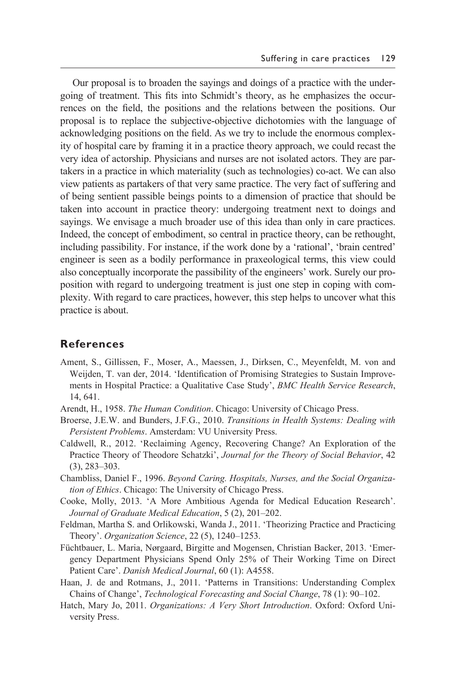Our proposal is to broaden the sayings and doings of a practice with the undergoing of treatment. This fits into Schmidt's theory, as he emphasizes the occurrences on the field, the positions and the relations between the positions. Our proposal is to replace the subjective- objective dichotomies with the language of acknowledging positions on the field. As we try to include the enormous complexity of hospital care by framing it in a practice theory approach, we could recast the very idea of actorship. Physicians and nurses are not isolated actors. They are partakers in a practice in which materiality (such as technologies) co- act. We can also view patients as partakers of that very same practice. The very fact of suffering and of being sentient passible beings points to a dimension of practice that should be taken into account in practice theory: undergoing treatment next to doings and sayings. We envisage a much broader use of this idea than only in care practices. Indeed, the concept of embodiment, so central in practice theory, can be rethought, including passibility. For instance, if the work done by a 'rational', 'brain centred' engineer is seen as a bodily performance in praxeological terms, this view could also conceptually incorporate the passibility of the engineers' work. Surely our proposition with regard to undergoing treatment is just one step in coping with complexity. With regard to care practices, however, this step helps to uncover what this practice is about.

#### **References**

- Ament, S., Gillissen, F., Moser, A., Maessen, J., Dirksen, C., Meyenfeldt, M. von and Weijden, T. van der, 2014. 'Identification of Promising Strategies to Sustain Improvements in Hospital Practice: a Qualitative Case Study', *BMC Health Service Research*, 14, 641.
- Arendt, H., 1958. *The Human Condition*. Chicago: University of Chicago Press.
- Broerse, J.E.W. and Bunders, J.F.G., 2010. *Transitions in Health Systems: Dealing with Persistent Problems*. Amsterdam: VU University Press.
- Caldwell, R., 2012. 'Reclaiming Agency, Recovering Change? An Exploration of the Practice Theory of Theodore Schatzki', *Journal for the Theory of Social Behavior*, 42 (3), 283–303.
- Chambliss, Daniel F., 1996. *Beyond Caring. Hospitals, Nurses, and the Social Organization of Ethics*. Chicago: The University of Chicago Press.
- Cooke, Molly, 2013. 'A More Ambitious Agenda for Medical Education Research'. *Journal of Graduate Medical Education*, 5 (2), 201–202.
- Feldman, Martha S. and Orlikowski, Wanda J., 2011. 'Theorizing Practice and Practicing Theory'. *Organization Science*, 22 (5), 1240–1253.
- Füchtbauer, L. Maria, Nørgaard, Birgitte and Mogensen, Christian Backer, 2013. 'Emergency Department Physicians Spend Only 25% of Their Working Time on Direct Patient Care'. *Danish Medical Journal*, 60 (1): A4558.
- Haan, J. de and Rotmans, J., 2011. 'Patterns in Transitions: Understanding Complex Chains of Change', *Technological Forecasting and Social Change*, 78 (1): 90–102.
- Hatch, Mary Jo, 2011. *Organizations: A Very Short Introduction*. Oxford: Oxford University Press.